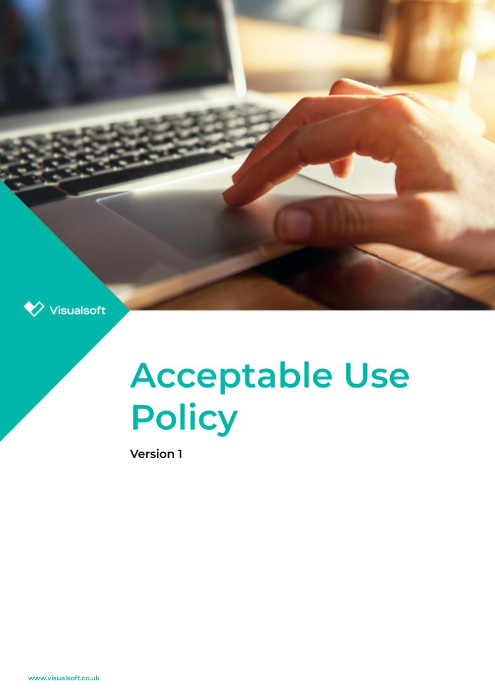

# **Acceptable Use Policy**

Version 1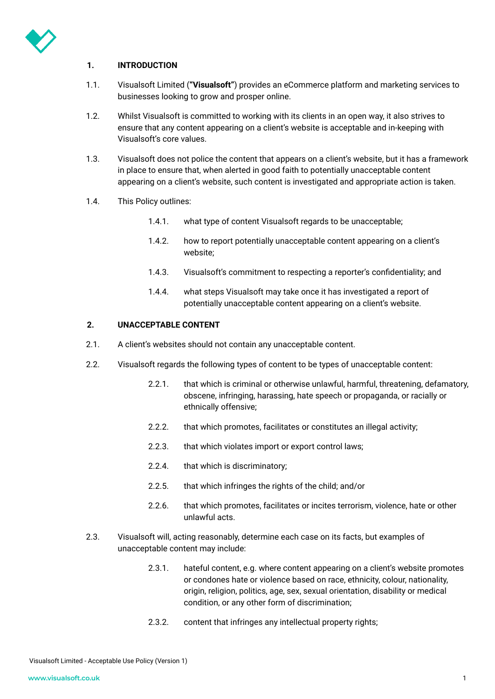

## **1. INTRODUCTION**

- 1.1. Visualsoft Limited (**"Visualsoft"**) provides an eCommerce platform and marketing services to businesses looking to grow and prosper online.
- 1.2. Whilst Visualsoft is committed to working with its clients in an open way, it also strives to ensure that any content appearing on a client's website is acceptable and in-keeping with Visualsoft's core values.
- 1.3. Visualsoft does not police the content that appears on a client's website, but it has a framework in place to ensure that, when alerted in good faith to potentially unacceptable content appearing on a client's website, such content is investigated and appropriate action is taken.
- 1.4. This Policy outlines:
	- 1.4.1. what type of content Visualsoft regards to be unacceptable;
	- 1.4.2. how to report potentially unacceptable content appearing on a client's website;
	- 1.4.3. Visualsoft's commitment to respecting a reporter's confidentiality; and
	- 1.4.4. what steps Visualsoft may take once it has investigated a report of potentially unacceptable content appearing on a client's website.

#### **2. UNACCEPTABLE CONTENT**

- 2.1. A client's websites should not contain any unacceptable content.
- 2.2. Visualsoft regards the following types of content to be types of unacceptable content:
	- 2.2.1. that which is criminal or otherwise unlawful, harmful, threatening, defamatory, obscene, infringing, harassing, hate speech or propaganda, or racially or ethnically offensive;
	- 2.2.2. that which promotes, facilitates or constitutes an illegal activity:
	- 2.2.3. that which violates import or export control laws;
	- 2.2.4. that which is discriminatory;
	- 2.2.5. that which infringes the rights of the child; and/or
	- 2.2.6. that which promotes, facilitates or incites terrorism, violence, hate or other unlawful acts.
- 2.3. Visualsoft will, acting reasonably, determine each case on its facts, but examples of unacceptable content may include:
	- 2.3.1. hateful content, e.g. where content appearing on a client's website promotes or condones hate or violence based on race, ethnicity, colour, nationality, origin, religion, politics, age, sex, sexual orientation, disability or medical condition, or any other form of discrimination;
	- 2.3.2. content that infringes any intellectual property rights;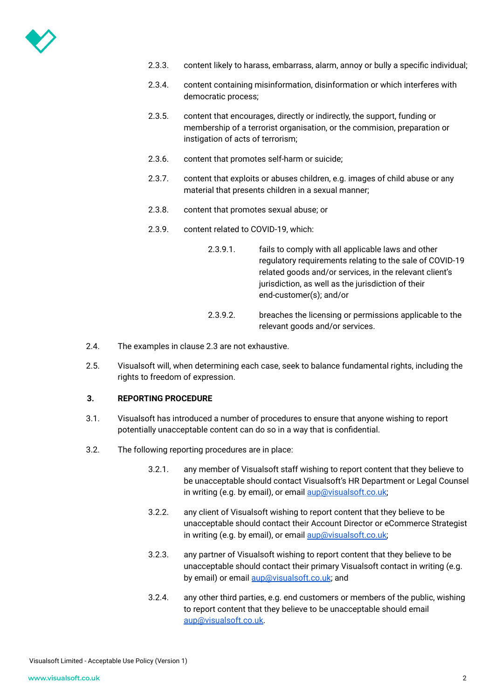

- 2.3.3. content likely to harass, embarrass, alarm, annoy or bully a specific individual;
- 2.3.4. content containing misinformation, disinformation or which interferes with democratic process;
- 2.3.5. content that encourages, directly or indirectly, the support, funding or membership of a terrorist organisation, or the commision, preparation or instigation of acts of terrorism;
- 2.3.6. content that promotes self-harm or suicide;
- 2.3.7. content that exploits or abuses children, e.g. images of child abuse or any material that presents children in a sexual manner;
- 2.3.8. content that promotes sexual abuse; or
- 2.3.9. content related to COVID-19, which:
	- 2.3.9.1. fails to comply with all applicable laws and other regulatory requirements relating to the sale of COVID-19 related goods and/or services, in the relevant client's jurisdiction, as well as the jurisdiction of their end-customer(s); and/or
	- 2.3.9.2. breaches the licensing or permissions applicable to the relevant goods and/or services.
- 2.4. The examples in clause 2.3 are not exhaustive.
- 2.5. Visualsoft will, when determining each case, seek to balance fundamental rights, including the rights to freedom of expression.

### **3. REPORTING PROCEDURE**

- 3.1. Visualsoft has introduced a number of procedures to ensure that anyone wishing to report potentially unacceptable content can do so in a way that is confidential.
- 3.2. The following reporting procedures are in place:
	- 3.2.1. any member of Visualsoft staff wishing to report content that they believe to be unacceptable should contact Visualsoft's HR Department or Legal Counsel in writing (e.g. by email), or email [aup@visualsoft.co.uk;](mailto:aup@visualsoft.co.uk)
	- 3.2.2. any client of Visualsoft wishing to report content that they believe to be unacceptable should contact their Account Director or eCommerce Strategist in writing (e.g. by email), or email [aup@visualsoft.co.uk;](mailto:aup@visualsoft.co.uk)
	- 3.2.3. any partner of Visualsoft wishing to report content that they believe to be unacceptable should contact their primary Visualsoft contact in writing (e.g. by email) or email [aup@visualsoft.co.uk](mailto:aup@visualsoft.co.uk); and
	- 3.2.4. any other third parties, e.g. end customers or members of the public, wishing to report content that they believe to be unacceptable should email [aup@visualsoft.co.uk](mailto:aup@visualsoft.co.uk).